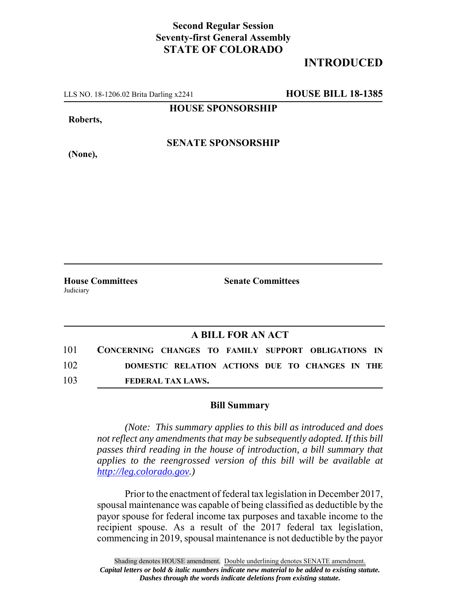## **Second Regular Session Seventy-first General Assembly STATE OF COLORADO**

## **INTRODUCED**

LLS NO. 18-1206.02 Brita Darling x2241 **HOUSE BILL 18-1385**

**HOUSE SPONSORSHIP**

**Roberts,**

**(None),**

**SENATE SPONSORSHIP**

Judiciary

**House Committees Senate Committees** 

## **A BILL FOR AN ACT**

101 **CONCERNING CHANGES TO FAMILY SUPPORT OBLIGATIONS IN** 102 **DOMESTIC RELATION ACTIONS DUE TO CHANGES IN THE** 103 **FEDERAL TAX LAWS.**

## **Bill Summary**

*(Note: This summary applies to this bill as introduced and does not reflect any amendments that may be subsequently adopted. If this bill passes third reading in the house of introduction, a bill summary that applies to the reengrossed version of this bill will be available at http://leg.colorado.gov.)*

Prior to the enactment of federal tax legislation in December 2017, spousal maintenance was capable of being classified as deductible by the payor spouse for federal income tax purposes and taxable income to the recipient spouse. As a result of the 2017 federal tax legislation, commencing in 2019, spousal maintenance is not deductible by the payor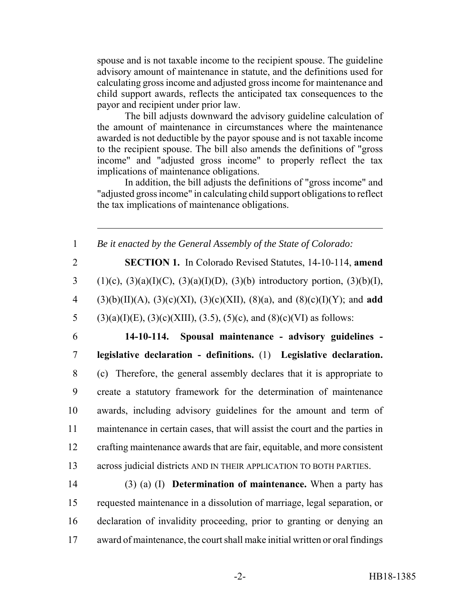spouse and is not taxable income to the recipient spouse. The guideline advisory amount of maintenance in statute, and the definitions used for calculating gross income and adjusted gross income for maintenance and child support awards, reflects the anticipated tax consequences to the payor and recipient under prior law.

The bill adjusts downward the advisory guideline calculation of the amount of maintenance in circumstances where the maintenance awarded is not deductible by the payor spouse and is not taxable income to the recipient spouse. The bill also amends the definitions of "gross income" and "adjusted gross income" to properly reflect the tax implications of maintenance obligations.

In addition, the bill adjusts the definitions of "gross income" and "adjusted gross income" in calculating child support obligations to reflect the tax implications of maintenance obligations.

 *Be it enacted by the General Assembly of the State of Colorado:* **SECTION 1.** In Colorado Revised Statutes, 14-10-114, **amend** 3 (1)(c), (3)(a)(I)(C), (3)(a)(I)(D), (3)(b) introductory portion, (3)(b)(I), (3)(b)(II)(A), (3)(c)(XI), (3)(c)(XII), (8)(a), and (8)(c)(I)(Y); and **add** 5 (3)(a)(I)(E), (3)(c)(XIII), (3.5), (5)(c), and (8)(c)(VI) as follows: **14-10-114. Spousal maintenance - advisory guidelines - legislative declaration - definitions.** (1) **Legislative declaration.** (c) Therefore, the general assembly declares that it is appropriate to create a statutory framework for the determination of maintenance awards, including advisory guidelines for the amount and term of maintenance in certain cases, that will assist the court and the parties in crafting maintenance awards that are fair, equitable, and more consistent across judicial districts AND IN THEIR APPLICATION TO BOTH PARTIES. (3) (a) (I) **Determination of maintenance.** When a party has requested maintenance in a dissolution of marriage, legal separation, or declaration of invalidity proceeding, prior to granting or denying an award of maintenance, the court shall make initial written or oral findings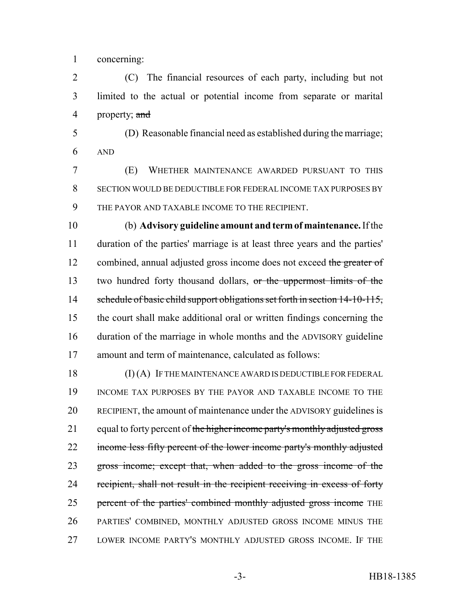concerning:

 (C) The financial resources of each party, including but not limited to the actual or potential income from separate or marital 4 property; and

 (D) Reasonable financial need as established during the marriage; AND

 (E) WHETHER MAINTENANCE AWARDED PURSUANT TO THIS SECTION WOULD BE DEDUCTIBLE FOR FEDERAL INCOME TAX PURPOSES BY THE PAYOR AND TAXABLE INCOME TO THE RECIPIENT.

 (b) **Advisory guideline amount and term of maintenance.** If the duration of the parties' marriage is at least three years and the parties' 12 combined, annual adjusted gross income does not exceed the greater of two hundred forty thousand dollars, or the uppermost limits of the 14 schedule of basic child support obligations set forth in section 14-10-115, the court shall make additional oral or written findings concerning the duration of the marriage in whole months and the ADVISORY guideline amount and term of maintenance, calculated as follows:

 (I) (A) IF THE MAINTENANCE AWARD IS DEDUCTIBLE FOR FEDERAL INCOME TAX PURPOSES BY THE PAYOR AND TAXABLE INCOME TO THE RECIPIENT, the amount of maintenance under the ADVISORY guidelines is 21 equal to forty percent of the higher income party's monthly adjusted gross 22 income less fifty percent of the lower income party's monthly adjusted gross income; except that, when added to the gross income of the 24 recipient, shall not result in the recipient receiving in excess of forty 25 percent of the parties' combined monthly adjusted gross income THE PARTIES' COMBINED, MONTHLY ADJUSTED GROSS INCOME MINUS THE LOWER INCOME PARTY'S MONTHLY ADJUSTED GROSS INCOME. IF THE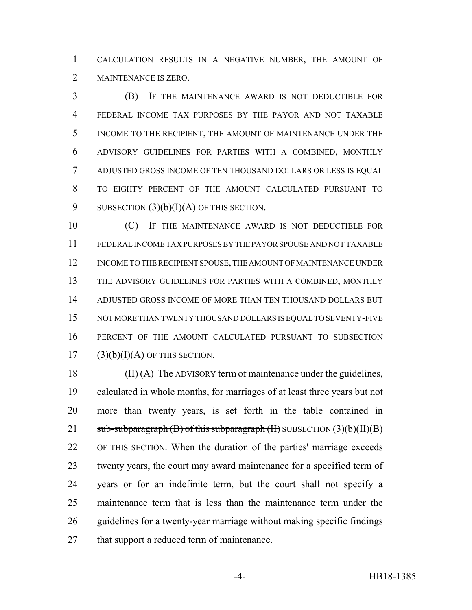CALCULATION RESULTS IN A NEGATIVE NUMBER, THE AMOUNT OF MAINTENANCE IS ZERO.

 (B) IF THE MAINTENANCE AWARD IS NOT DEDUCTIBLE FOR FEDERAL INCOME TAX PURPOSES BY THE PAYOR AND NOT TAXABLE INCOME TO THE RECIPIENT, THE AMOUNT OF MAINTENANCE UNDER THE ADVISORY GUIDELINES FOR PARTIES WITH A COMBINED, MONTHLY ADJUSTED GROSS INCOME OF TEN THOUSAND DOLLARS OR LESS IS EQUAL TO EIGHTY PERCENT OF THE AMOUNT CALCULATED PURSUANT TO 9 SUBSECTION  $(3)(b)(I)(A)$  OF THIS SECTION.

10 (C) IF THE MAINTENANCE AWARD IS NOT DEDUCTIBLE FOR FEDERAL INCOME TAX PURPOSES BY THE PAYOR SPOUSE AND NOT TAXABLE 12 INCOME TO THE RECIPIENT SPOUSE, THE AMOUNT OF MAINTENANCE UNDER THE ADVISORY GUIDELINES FOR PARTIES WITH A COMBINED, MONTHLY ADJUSTED GROSS INCOME OF MORE THAN TEN THOUSAND DOLLARS BUT NOT MORE THAN TWENTY THOUSAND DOLLARS IS EQUAL TO SEVENTY-FIVE PERCENT OF THE AMOUNT CALCULATED PURSUANT TO SUBSECTION (3)(b)(I)(A) OF THIS SECTION.

 (II) (A) The ADVISORY term of maintenance under the guidelines, calculated in whole months, for marriages of at least three years but not more than twenty years, is set forth in the table contained in  $sub-sub-<sub>2</sub> = sub-sub-<sub>2</sub> = sub-sub-<sub>2</sub> = sub-sub-<sub>2</sub> = sub-sub-<sub>2</sub> = sub-sub-<sub>2</sub> = sub-sub-<sub>2</sub> = sub-sub-<sub>2</sub> = sub-sub-<sub>2</sub> = sub-sub-<sub>2</sub> = sub-sub-<sub>2</sub> = sub-sub-<sub>2</sub> = sub-<sub>2</sub> = sub-<sub>2</sub> = sub-<sub>2</sub> = sub-<sub>2</sub> = sub-<sub>2</sub> = sub-<sub>2</sub> = sub-<sub>2</sub> = sub-<$  OF THIS SECTION. When the duration of the parties' marriage exceeds twenty years, the court may award maintenance for a specified term of years or for an indefinite term, but the court shall not specify a maintenance term that is less than the maintenance term under the guidelines for a twenty-year marriage without making specific findings 27 that support a reduced term of maintenance.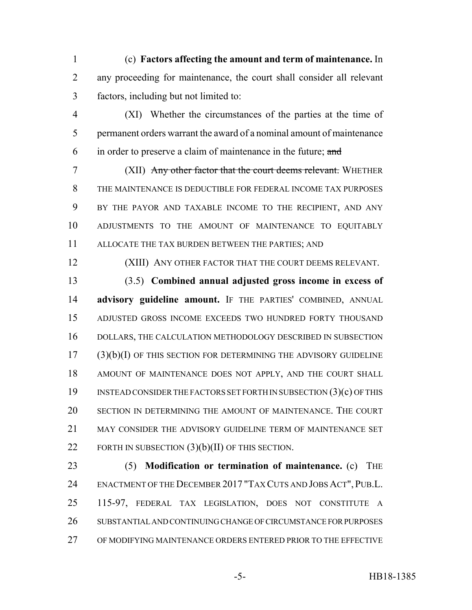(c) **Factors affecting the amount and term of maintenance.** In any proceeding for maintenance, the court shall consider all relevant factors, including but not limited to:

 (XI) Whether the circumstances of the parties at the time of permanent orders warrant the award of a nominal amount of maintenance in order to preserve a claim of maintenance in the future; and

 (XII) Any other factor that the court deems relevant. WHETHER THE MAINTENANCE IS DEDUCTIBLE FOR FEDERAL INCOME TAX PURPOSES BY THE PAYOR AND TAXABLE INCOME TO THE RECIPIENT, AND ANY ADJUSTMENTS TO THE AMOUNT OF MAINTENANCE TO EQUITABLY ALLOCATE THE TAX BURDEN BETWEEN THE PARTIES; AND

(XIII) ANY OTHER FACTOR THAT THE COURT DEEMS RELEVANT.

 (3.5) **Combined annual adjusted gross income in excess of advisory guideline amount.** IF THE PARTIES' COMBINED, ANNUAL ADJUSTED GROSS INCOME EXCEEDS TWO HUNDRED FORTY THOUSAND DOLLARS, THE CALCULATION METHODOLOGY DESCRIBED IN SUBSECTION (3)(b)(I) OF THIS SECTION FOR DETERMINING THE ADVISORY GUIDELINE AMOUNT OF MAINTENANCE DOES NOT APPLY, AND THE COURT SHALL INSTEAD CONSIDER THE FACTORS SET FORTH IN SUBSECTION (3)(c) OF THIS SECTION IN DETERMINING THE AMOUNT OF MAINTENANCE. THE COURT 21 MAY CONSIDER THE ADVISORY GUIDELINE TERM OF MAINTENANCE SET FORTH IN SUBSECTION (3)(b)(II) OF THIS SECTION.

 (5) **Modification or termination of maintenance.** (c) THE 24 ENACTMENT OF THE DECEMBER 2017 "TAX CUTS AND JOBS ACT", PUB.L. 115-97, FEDERAL TAX LEGISLATION, DOES NOT CONSTITUTE A SUBSTANTIAL AND CONTINUING CHANGE OF CIRCUMSTANCE FOR PURPOSES OF MODIFYING MAINTENANCE ORDERS ENTERED PRIOR TO THE EFFECTIVE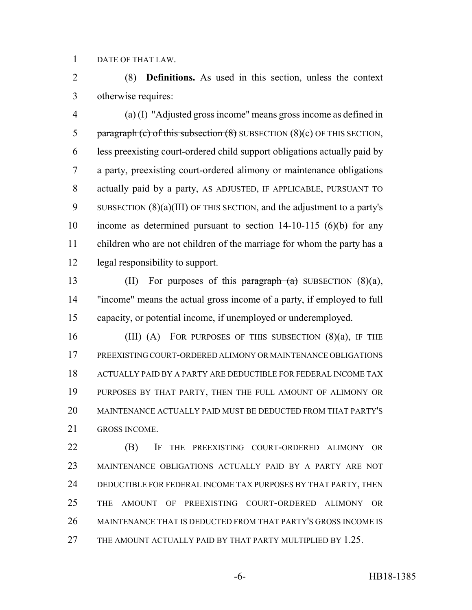DATE OF THAT LAW.

 (8) **Definitions.** As used in this section, unless the context otherwise requires:

 (a) (I) "Adjusted gross income" means gross income as defined in 5 paragraph (c) of this subsection  $(8)$  SUBSECTION  $(8)(c)$  OF THIS SECTION, less preexisting court-ordered child support obligations actually paid by a party, preexisting court-ordered alimony or maintenance obligations actually paid by a party, AS ADJUSTED, IF APPLICABLE, PURSUANT TO SUBSECTION (8)(a)(III) OF THIS SECTION, and the adjustment to a party's income as determined pursuant to section 14-10-115 (6)(b) for any children who are not children of the marriage for whom the party has a legal responsibility to support.

13 (II) For purposes of this paragraph  $(a)$  SUBSECTION  $(8)(a)$ , "income" means the actual gross income of a party, if employed to full capacity, or potential income, if unemployed or underemployed.

16 (III) (A) FOR PURPOSES OF THIS SUBSECTION  $(8)(a)$ , IF THE PREEXISTING COURT-ORDERED ALIMONY OR MAINTENANCE OBLIGATIONS ACTUALLY PAID BY A PARTY ARE DEDUCTIBLE FOR FEDERAL INCOME TAX PURPOSES BY THAT PARTY, THEN THE FULL AMOUNT OF ALIMONY OR MAINTENANCE ACTUALLY PAID MUST BE DEDUCTED FROM THAT PARTY'S GROSS INCOME.

 (B) IF THE PREEXISTING COURT-ORDERED ALIMONY OR MAINTENANCE OBLIGATIONS ACTUALLY PAID BY A PARTY ARE NOT DEDUCTIBLE FOR FEDERAL INCOME TAX PURPOSES BY THAT PARTY, THEN THE AMOUNT OF PREEXISTING COURT-ORDERED ALIMONY OR MAINTENANCE THAT IS DEDUCTED FROM THAT PARTY'S GROSS INCOME IS THE AMOUNT ACTUALLY PAID BY THAT PARTY MULTIPLIED BY 1.25.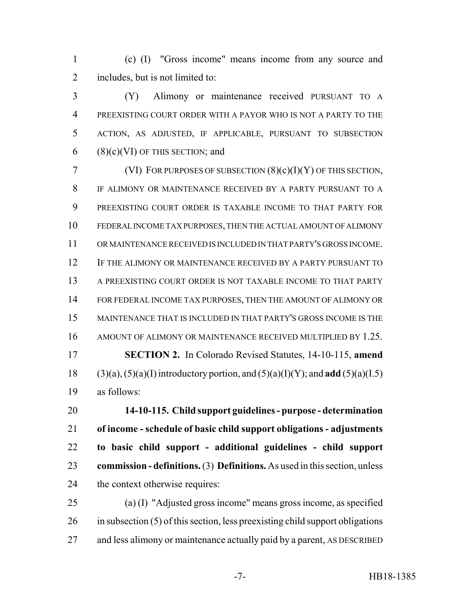(c) (I) "Gross income" means income from any source and includes, but is not limited to:

 (Y) Alimony or maintenance received PURSUANT TO A PREEXISTING COURT ORDER WITH A PAYOR WHO IS NOT A PARTY TO THE ACTION, AS ADJUSTED, IF APPLICABLE, PURSUANT TO SUBSECTION 6 (8)(c)(VI) OF THIS SECTION; and

7 (VI) FOR PURPOSES OF SUBSECTION  $(8)(c)(I)(Y)$  OF THIS SECTION, IF ALIMONY OR MAINTENANCE RECEIVED BY A PARTY PURSUANT TO A PREEXISTING COURT ORDER IS TAXABLE INCOME TO THAT PARTY FOR FEDERAL INCOME TAX PURPOSES, THEN THE ACTUAL AMOUNT OF ALIMONY OR MAINTENANCE RECEIVED IS INCLUDED IN THAT PARTY'S GROSS INCOME. IF THE ALIMONY OR MAINTENANCE RECEIVED BY A PARTY PURSUANT TO A PREEXISTING COURT ORDER IS NOT TAXABLE INCOME TO THAT PARTY FOR FEDERAL INCOME TAX PURPOSES, THEN THE AMOUNT OF ALIMONY OR MAINTENANCE THAT IS INCLUDED IN THAT PARTY'S GROSS INCOME IS THE AMOUNT OF ALIMONY OR MAINTENANCE RECEIVED MULTIPLIED BY 1.25. **SECTION 2.** In Colorado Revised Statutes, 14-10-115, **amend** (3)(a), (5)(a)(I) introductory portion, and (5)(a)(I)(Y); and **add** (5)(a)(I.5) as follows:

 **14-10-115. Child support guidelines - purpose - determination of income - schedule of basic child support obligations - adjustments to basic child support - additional guidelines - child support commission - definitions.** (3) **Definitions.** As used in this section, unless the context otherwise requires:

 (a) (I) "Adjusted gross income" means gross income, as specified in subsection (5) of this section, less preexisting child support obligations 27 and less alimony or maintenance actually paid by a parent, AS DESCRIBED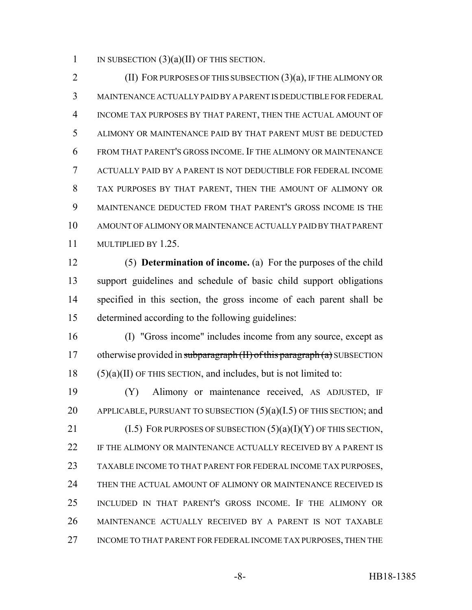1 IN SUBSECTION  $(3)(a)(II)$  OF THIS SECTION.

**(II) FOR PURPOSES OF THIS SUBSECTION (3)(a), IF THE ALIMONY OR**  MAINTENANCE ACTUALLY PAID BY A PARENT IS DEDUCTIBLE FOR FEDERAL INCOME TAX PURPOSES BY THAT PARENT, THEN THE ACTUAL AMOUNT OF ALIMONY OR MAINTENANCE PAID BY THAT PARENT MUST BE DEDUCTED FROM THAT PARENT'S GROSS INCOME. IF THE ALIMONY OR MAINTENANCE ACTUALLY PAID BY A PARENT IS NOT DEDUCTIBLE FOR FEDERAL INCOME TAX PURPOSES BY THAT PARENT, THEN THE AMOUNT OF ALIMONY OR MAINTENANCE DEDUCTED FROM THAT PARENT'S GROSS INCOME IS THE AMOUNT OF ALIMONY OR MAINTENANCE ACTUALLY PAID BY THAT PARENT MULTIPLIED BY 1.25.

 (5) **Determination of income.** (a) For the purposes of the child support guidelines and schedule of basic child support obligations specified in this section, the gross income of each parent shall be determined according to the following guidelines:

 (I) "Gross income" includes income from any source, except as 17 otherwise provided in subparagraph  $(H)$  of this paragraph  $(a)$  SUBSECTION (5)(a)(II) OF THIS SECTION, and includes, but is not limited to:

 (Y) Alimony or maintenance received, AS ADJUSTED, IF 20 APPLICABLE, PURSUANT TO SUBSECTION  $(5)(a)(I.5)$  OF THIS SECTION; and 21 (I.5) FOR PURPOSES OF SUBSECTION  $(5)(a)(I)(Y)$  OF THIS SECTION, IF THE ALIMONY OR MAINTENANCE ACTUALLY RECEIVED BY A PARENT IS TAXABLE INCOME TO THAT PARENT FOR FEDERAL INCOME TAX PURPOSES, THEN THE ACTUAL AMOUNT OF ALIMONY OR MAINTENANCE RECEIVED IS INCLUDED IN THAT PARENT'S GROSS INCOME. IF THE ALIMONY OR MAINTENANCE ACTUALLY RECEIVED BY A PARENT IS NOT TAXABLE INCOME TO THAT PARENT FOR FEDERAL INCOME TAX PURPOSES, THEN THE